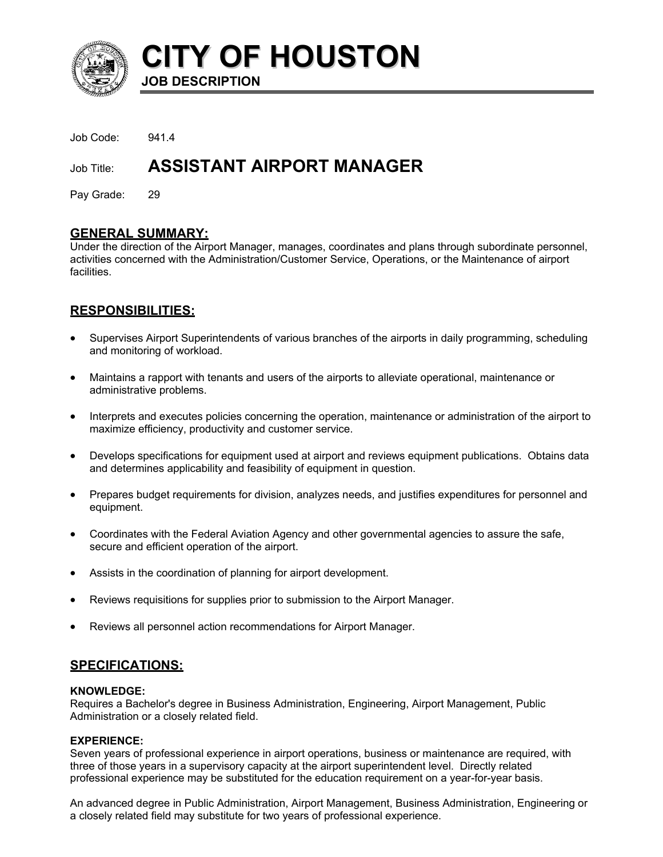

**CITY OF HOUSTON JOB DESCRIPTION** 

Job Code: 941.4

# Job Title: **ASSISTANT AIRPORT MANAGER**

Pay Grade: 29

## **GENERAL SUMMARY:**

Under the direction of the Airport Manager, manages, coordinates and plans through subordinate personnel, activities concerned with the Administration/Customer Service, Operations, or the Maintenance of airport facilities.

## **RESPONSIBILITIES:**

- Supervises Airport Superintendents of various branches of the airports in daily programming, scheduling and monitoring of workload.
- Maintains a rapport with tenants and users of the airports to alleviate operational, maintenance or administrative problems.
- Interprets and executes policies concerning the operation, maintenance or administration of the airport to maximize efficiency, productivity and customer service.
- Develops specifications for equipment used at airport and reviews equipment publications. Obtains data and determines applicability and feasibility of equipment in question.
- Prepares budget requirements for division, analyzes needs, and justifies expenditures for personnel and equipment.
- Coordinates with the Federal Aviation Agency and other governmental agencies to assure the safe, secure and efficient operation of the airport.
- Assists in the coordination of planning for airport development.
- Reviews requisitions for supplies prior to submission to the Airport Manager.
- Reviews all personnel action recommendations for Airport Manager.

## **SPECIFICATIONS:**

#### **KNOWLEDGE:**

Requires a Bachelor's degree in Business Administration, Engineering, Airport Management, Public Administration or a closely related field.

#### **EXPERIENCE:**

Seven years of professional experience in airport operations, business or maintenance are required, with three of those years in a supervisory capacity at the airport superintendent level. Directly related professional experience may be substituted for the education requirement on a year-for-year basis.

An advanced degree in Public Administration, Airport Management, Business Administration, Engineering or a closely related field may substitute for two years of professional experience.